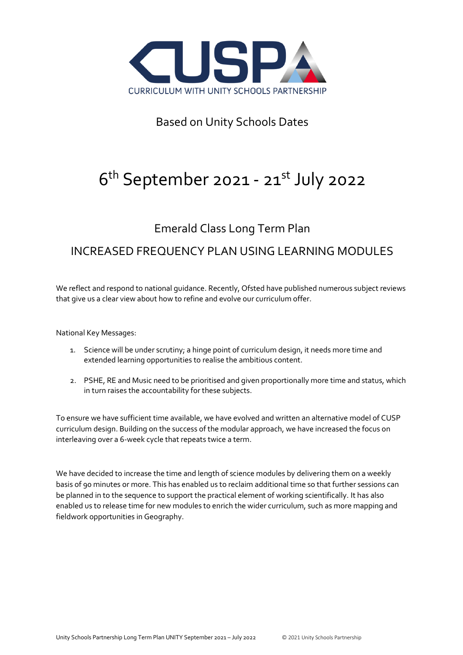

## Based on Unity Schools Dates

# 6<sup>th</sup> September 2021 - 21<sup>st</sup> July 2022

### Emerald Class Long Term Plan

### INCREASED FREQUENCY PLAN USING LEARNING MODULES

We reflect and respond to national guidance. Recently, Ofsted have published numerous subject reviews that give us a clear view about how to refine and evolve our curriculum offer.

National Key Messages:

- 1. Science will be under scrutiny; a hinge point of curriculum design, it needs more time and extended learning opportunities to realise the ambitious content.
- 2. PSHE, RE and Music need to be prioritised and given proportionally more time and status, which in turn raises the accountability for these subjects.

To ensure we have sufficient time available, we have evolved and written an alternative model of CUSP curriculum design. Building on the success of the modular approach, we have increased the focus on interleaving over a 6-week cycle that repeats twice a term.

We have decided to increase the time and length of science modules by delivering them on a weekly basis of 90 minutes or more. This has enabled us to reclaim additional time so that further sessions can be planned in to the sequence to support the practical element of working scientifically. It has also enabled us to release time for new modules to enrich the wider curriculum, such as more mapping and fieldwork opportunities in Geography.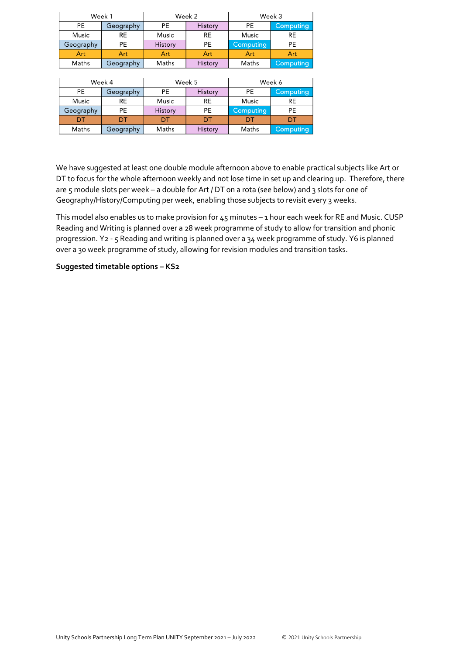| Week 1    |           | Week 2    |           | Week 3    |                  |  |
|-----------|-----------|-----------|-----------|-----------|------------------|--|
| PE        | Geography | <b>PE</b> | History   | PE        | <b>Computing</b> |  |
| Music     | <b>RE</b> | Music     | <b>RE</b> | Music     | <b>RE</b>        |  |
| Geography | PE        | History   | <b>PE</b> | Computing | <b>PE</b>        |  |
| Art       | Art       | Art       | Art       | Art       | Art              |  |
| Maths     | Geography | Maths     | History   | Maths     | Computing        |  |

|           | Week 4    |         | Week 5    |           | Week 6    |
|-----------|-----------|---------|-----------|-----------|-----------|
| <b>PE</b> | Geography | PE      | History   | PE        | Computing |
| Music     | <b>RE</b> | Music   | <b>RE</b> | Music     | RE        |
| Geography | РE        | History | РE        | Computing | PE        |
| דח        |           | nт      | דח        | וח        |           |
| Maths     | Geography | Maths   | History   | Maths     | Computing |

We have suggested at least one double module afternoon above to enable practical subjects like Art or DT to focus for the whole afternoon weekly and not lose time in set up and clearing up. Therefore, there are 5 module slots per week - a double for Art / DT on a rota (see below) and 3 slots for one of Geography/History/Computing per week, enabling those subjects to revisit every 3 weeks.

This model also enables us to make provision for 45 minutes – 1 hour each week for RE and Music. CUSP Reading and Writing is planned over a 28 week programme of study to allow for transition and phonic progression. Y2 - 5 Reading and writing is planned over a 34 week programme of study. Y6 is planned over a 30 week programme of study, allowing for revision modules and transition tasks.

### **Suggested timetable options – KS2**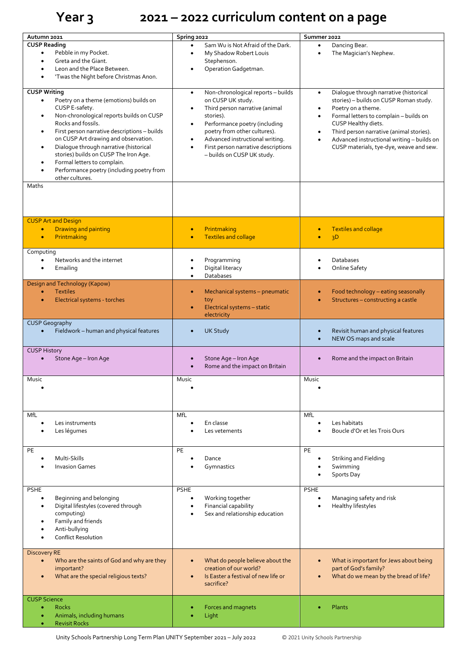# **Year 3 2021 – 2022 curriculum content on a page**

| Autumn 2021                                               | Spring 2022                                      | Summer 2022                                         |
|-----------------------------------------------------------|--------------------------------------------------|-----------------------------------------------------|
| <b>CUSP Reading</b>                                       | Sam Wu is Not Afraid of the Dark.                | Dancing Bear.<br>$\bullet$                          |
| Pebble in my Pocket.<br>$\bullet$                         | My Shadow Robert Louis                           | The Magician's Nephew.<br>$\bullet$                 |
| Greta and the Giant.                                      | Stephenson.                                      |                                                     |
| Leon and the Place Between.                               | Operation Gadgetman.                             |                                                     |
| 'Twas the Night before Christmas Anon.                    |                                                  |                                                     |
|                                                           |                                                  |                                                     |
| <b>CUSP Writing</b>                                       | Non-chronological reports - builds<br>$\bullet$  | Dialogue through narrative (historical<br>$\bullet$ |
| Poetry on a theme (emotions) builds on<br>$\bullet$       | on CUSP UK study.                                | stories) - builds on CUSP Roman study.              |
| CUSP E-safety.                                            | Third person narrative (animal                   | Poetry on a theme.                                  |
| Non-chronological reports builds on CUSP<br>$\bullet$     | stories).                                        | Formal letters to complain - builds on<br>$\bullet$ |
| Rocks and fossils.                                        | Performance poetry (including                    | CUSP Healthy diets.                                 |
| First person narrative descriptions - builds<br>$\bullet$ | poetry from other cultures).                     | Third person narrative (animal stories).            |
| on CUSP Art drawing and observation.                      | Advanced instructional writing.<br>$\bullet$     | Advanced instructional writing - builds on          |
| Dialogue through narrative (historical<br>$\bullet$       | First person narrative descriptions<br>$\bullet$ | CUSP materials, tye-dye, weave and sew.             |
| stories) builds on CUSP The Iron Age.                     | - builds on CUSP UK study.                       |                                                     |
| Formal letters to complain.<br>$\bullet$                  |                                                  |                                                     |
| Performance poetry (including poetry from                 |                                                  |                                                     |
| other cultures.                                           |                                                  |                                                     |
| Maths                                                     |                                                  |                                                     |
|                                                           |                                                  |                                                     |
|                                                           |                                                  |                                                     |
|                                                           |                                                  |                                                     |
| <b>CUSP Art and Design</b>                                |                                                  |                                                     |
| <b>Drawing and painting</b><br>$\bullet$                  | Printmaking                                      | <b>Textiles and collage</b><br>$\bullet$            |
| Printmaking<br>$\bullet$                                  | <b>Textiles and collage</b><br>$\bullet$         | 3D                                                  |
|                                                           |                                                  |                                                     |
| Computing                                                 |                                                  |                                                     |
| Networks and the internet<br>$\bullet$                    | Programming                                      | Databases                                           |
| Emailing                                                  | Digital literacy                                 | Online Safety                                       |
|                                                           | Databases<br>$\bullet$                           |                                                     |
| Design and Technology (Kapow)                             |                                                  |                                                     |
| <b>Textiles</b><br>$\bullet$                              | Mechanical systems - pneumatic                   | Food technology - eating seasonally<br>$\bullet$    |
| Electrical systems - torches<br>$\bullet$                 | toy                                              | Structures - constructing a castle<br>$\bullet$     |
|                                                           | Electrical systems - static                      |                                                     |
|                                                           | electricity                                      |                                                     |
| <b>CUSP Geography</b>                                     |                                                  |                                                     |
| Fieldwork - human and physical features                   | <b>UK Study</b>                                  | Revisit human and physical features                 |
|                                                           |                                                  | NEW OS maps and scale                               |
| <b>CUSP History</b>                                       |                                                  |                                                     |
| Stone Age - Iron Age                                      | Stone Age - Iron Age                             | Rome and the impact on Britain<br>$\bullet$         |
|                                                           | Rome and the impact on Britain                   |                                                     |
|                                                           |                                                  |                                                     |
| Music                                                     | Music                                            | Music                                               |
|                                                           |                                                  |                                                     |
|                                                           |                                                  |                                                     |
|                                                           |                                                  |                                                     |
| MfL                                                       | MfL                                              | MfL                                                 |
| Les instruments<br>$\bullet$                              | En classe                                        | Les habitats<br>$\bullet$                           |
| Les légumes                                               | Les vetements                                    | Boucle d'Or et les Trois Ours                       |
|                                                           |                                                  |                                                     |
|                                                           |                                                  |                                                     |
| PE                                                        | PE                                               | PE                                                  |
| Multi-Skills                                              | Dance                                            | Striking and Fielding                               |
| <b>Invasion Games</b>                                     | Gymnastics                                       | Swimming                                            |
|                                                           |                                                  | Sports Day                                          |
|                                                           |                                                  |                                                     |
| <b>PSHE</b>                                               | <b>PSHE</b>                                      | <b>PSHE</b>                                         |
| Beginning and belonging<br>$\bullet$                      | Working together<br>$\bullet$                    | Managing safety and risk<br>$\bullet$               |
| Digital lifestyles (covered through                       | Financial capability                             | Healthy lifestyles                                  |
| computing)                                                | Sex and relationship education                   |                                                     |
| Family and friends                                        |                                                  |                                                     |
| Anti-bullying                                             |                                                  |                                                     |
| <b>Conflict Resolution</b>                                |                                                  |                                                     |
|                                                           |                                                  |                                                     |
| <b>Discovery RE</b>                                       |                                                  |                                                     |
| Who are the saints of God and why are they                | What do people believe about the                 | What is important for Jews about being<br>$\bullet$ |
| important?                                                | creation of our world?                           | part of God's family?                               |
| What are the special religious texts?                     | Is Easter a festival of new life or              | What do we mean by the bread of life?<br>$\bullet$  |
|                                                           | sacrifice?                                       |                                                     |
|                                                           |                                                  |                                                     |
| <b>CUSP Science</b>                                       |                                                  |                                                     |
| <b>Rocks</b>                                              | Forces and magnets                               | Plants                                              |
| Animals, including humans                                 | Light                                            |                                                     |
| <b>Revisit Rocks</b>                                      |                                                  |                                                     |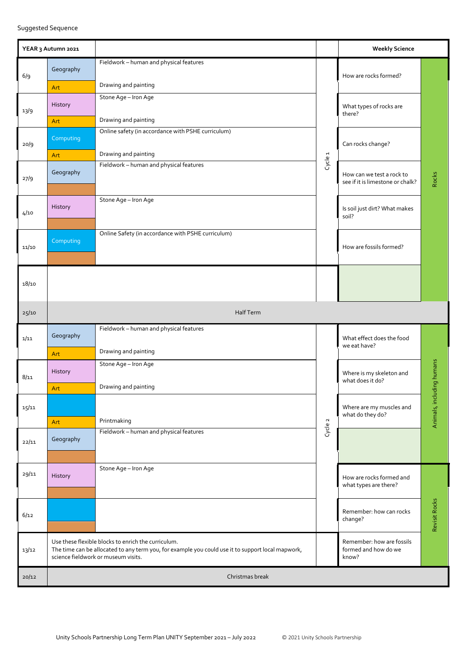Suggested Sequence

|       | YEAR 3 Autumn 2021    |                                                                                                                                                                                                 |                    | <b>Weekly Science</b>                                         |                           |
|-------|-----------------------|-------------------------------------------------------------------------------------------------------------------------------------------------------------------------------------------------|--------------------|---------------------------------------------------------------|---------------------------|
| 6/9   | Geography<br>Art      | Fieldwork - human and physical features<br>Drawing and painting                                                                                                                                 |                    | How are rocks formed?                                         |                           |
| 13/9  | History               | Stone Age - Iron Age                                                                                                                                                                            |                    | What types of rocks are<br>there?                             |                           |
| 20/9  | Art<br>Computing      | Drawing and painting<br>Online safety (in accordance with PSHE curriculum)                                                                                                                      |                    | Can rocks change?                                             |                           |
| 27/9  | Art<br>Geography      | Drawing and painting<br>Fieldwork - human and physical features                                                                                                                                 | Cycle <sub>1</sub> | How can we test a rock to<br>see if it is limestone or chalk? | Rocks                     |
| 4/10  | History               | Stone Age - Iron Age                                                                                                                                                                            |                    | Is soil just dirt? What makes<br>soil?                        |                           |
| 11/10 | Computing             | Online Safety (in accordance with PSHE curriculum)                                                                                                                                              |                    | How are fossils formed?                                       |                           |
| 18/10 |                       |                                                                                                                                                                                                 |                    |                                                               |                           |
| 25/10 |                       | Half Term                                                                                                                                                                                       |                    |                                                               |                           |
| 1/11  | Geography             | Fieldwork - human and physical features<br>Drawing and painting                                                                                                                                 |                    | What effect does the food<br>we eat have?                     |                           |
| 8/11  | Art<br>History<br>Art | Stone Age - Iron Age<br>Drawing and painting                                                                                                                                                    |                    | Where is my skeleton and<br>what does it do?                  |                           |
| 15/11 | Art                   | Printmaking                                                                                                                                                                                     |                    | Where are my muscles and<br>what do they do?                  | Animals, including humans |
| 22/11 | Geography             | Fieldwork - human and physical features                                                                                                                                                         | Cycle 2            |                                                               |                           |
| 29/11 | History               | Stone Age - Iron Age                                                                                                                                                                            |                    | How are rocks formed and<br>what types are there?             |                           |
| 6/12  |                       |                                                                                                                                                                                                 |                    | Remember: how can rocks<br>change?                            | Revisit Rocks             |
| 13/12 |                       | Use these flexible blocks to enrich the curriculum.<br>The time can be allocated to any term you, for example you could use it to support local mapwork,<br>science fieldwork or museum visits. |                    | Remember: how are fossils<br>formed and how do we<br>know?    |                           |
| 20/12 |                       | Christmas break                                                                                                                                                                                 |                    |                                                               |                           |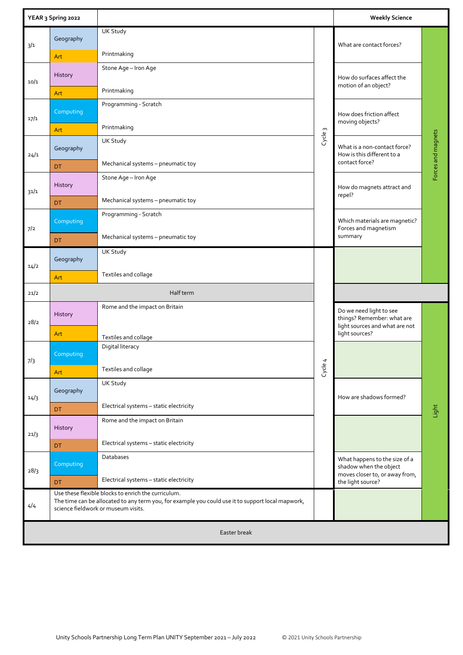|      | YEAR 3 Spring 2022 |                                                                                                                                                                                                 |                  | <b>Weekly Science</b>                                                                     |                    |  |  |
|------|--------------------|-------------------------------------------------------------------------------------------------------------------------------------------------------------------------------------------------|------------------|-------------------------------------------------------------------------------------------|--------------------|--|--|
| 3/1  | Geography<br>Art   | <b>UK Study</b><br>Printmaking                                                                                                                                                                  |                  | What are contact forces?                                                                  |                    |  |  |
| 10/1 | History            | Stone Age - Iron Age                                                                                                                                                                            |                  | How do surfaces affect the<br>motion of an object?                                        |                    |  |  |
|      | Art                | Printmaking                                                                                                                                                                                     |                  |                                                                                           |                    |  |  |
| 17/1 | Computing          | Programming - Scratch                                                                                                                                                                           |                  | How does friction affect<br>moving objects?                                               |                    |  |  |
|      | Art                | Printmaking                                                                                                                                                                                     | $\sim$<br>Cycle: |                                                                                           |                    |  |  |
| 24/1 | Geography          | <b>UK Study</b>                                                                                                                                                                                 |                  | What is a non-contact force?<br>How is this different to a<br>contact force?              | Forces and magnets |  |  |
|      | DT                 | Mechanical systems - pneumatic toy                                                                                                                                                              |                  |                                                                                           |                    |  |  |
| 31/1 | History            | Stone Age - Iron Age                                                                                                                                                                            |                  | How do magnets attract and<br>repel?                                                      |                    |  |  |
|      | <b>DT</b>          | Mechanical systems - pneumatic toy                                                                                                                                                              |                  |                                                                                           |                    |  |  |
| 7/2  | Computing          | Programming - Scratch                                                                                                                                                                           |                  | Which materials are magnetic?<br>Forces and magnetism                                     |                    |  |  |
|      | <b>DT</b>          | Mechanical systems - pneumatic toy                                                                                                                                                              |                  | summary                                                                                   |                    |  |  |
| 14/2 | Geography          | <b>UK Study</b>                                                                                                                                                                                 |                  |                                                                                           |                    |  |  |
|      | Art                | Textiles and collage                                                                                                                                                                            |                  |                                                                                           |                    |  |  |
| 21/2 |                    | Half term                                                                                                                                                                                       |                  |                                                                                           |                    |  |  |
| 28/2 | History            | Rome and the impact on Britain                                                                                                                                                                  |                  | Do we need light to see<br>things? Remember: what are<br>light sources and what are not   |                    |  |  |
|      | Art                | Textiles and collage                                                                                                                                                                            |                  | light sources?                                                                            |                    |  |  |
| 7/3  | Computing          | Digital literacy                                                                                                                                                                                |                  |                                                                                           |                    |  |  |
|      | Art                | Textiles and collage                                                                                                                                                                            | Cycle 4          |                                                                                           |                    |  |  |
| 14/3 | Geography          | UK Study                                                                                                                                                                                        |                  | How are shadows formed?                                                                   |                    |  |  |
|      | <b>DT</b>          | Electrical systems - static electricity                                                                                                                                                         |                  |                                                                                           | Light              |  |  |
| 21/3 | History            | Rome and the impact on Britain                                                                                                                                                                  |                  |                                                                                           |                    |  |  |
|      | <b>DT</b>          | Electrical systems - static electricity                                                                                                                                                         |                  |                                                                                           |                    |  |  |
| 28/3 | Computing          | Databases                                                                                                                                                                                       |                  | What happens to the size of a<br>shadow when the object<br>moves closer to, or away from, |                    |  |  |
|      | <b>DT</b>          | Electrical systems - static electricity                                                                                                                                                         |                  | the light source?                                                                         |                    |  |  |
| 4/4  |                    | Use these flexible blocks to enrich the curriculum.<br>The time can be allocated to any term you, for example you could use it to support local mapwork,<br>science fieldwork or museum visits. |                  |                                                                                           |                    |  |  |
|      | Easter break       |                                                                                                                                                                                                 |                  |                                                                                           |                    |  |  |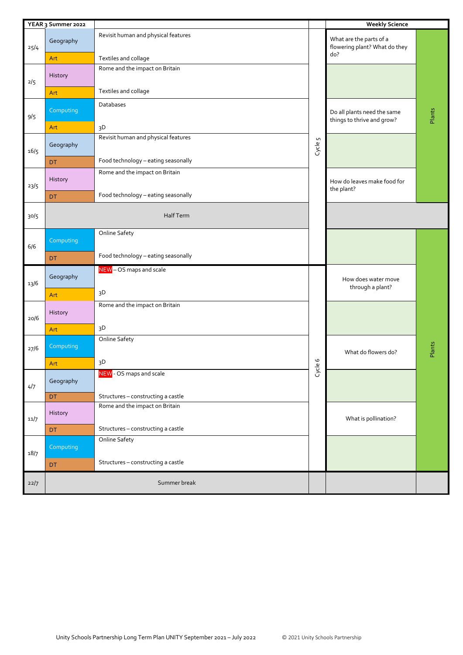|      | YEAR 3 Summer 2022 |                                     |                            | <b>Weekly Science</b>                                     |        |
|------|--------------------|-------------------------------------|----------------------------|-----------------------------------------------------------|--------|
| 25/4 | Geography          | Revisit human and physical features |                            | What are the parts of a<br>flowering plant? What do they  |        |
|      | Art                | Textiles and collage                |                            | do?                                                       |        |
| 2/5  | History            | Rome and the impact on Britain      |                            |                                                           |        |
|      | Art                | Textiles and collage                |                            |                                                           |        |
| 9/5  | Computing          | Databases                           |                            | Do all plants need the same<br>things to thrive and grow? | Plants |
|      | Art                | 3D                                  |                            |                                                           |        |
| 16/5 | Geography          | Revisit human and physical features | Cycle 5                    |                                                           |        |
|      | DT                 | Food technology - eating seasonally |                            |                                                           |        |
| 23/5 | History            | Rome and the impact on Britain      |                            | How do leaves make food for<br>the plant?                 |        |
|      | DT                 | Food technology - eating seasonally |                            |                                                           |        |
| 30/5 |                    | Half Term                           |                            |                                                           |        |
| 6/6  | Computing          | Online Safety                       |                            |                                                           |        |
|      | <b>DT</b>          | Food technology - eating seasonally |                            |                                                           |        |
| 13/6 | Geography          | NEW - OS maps and scale             |                            | How does water move<br>through a plant?                   |        |
|      | Art                | 3D                                  |                            |                                                           |        |
| 20/6 | History            | Rome and the impact on Britain      |                            |                                                           |        |
|      | Art                | 3D                                  |                            |                                                           |        |
| 27/6 | Computing          | <b>Online Safety</b>                |                            | What do flowers do?                                       | Plants |
|      | Art                | 3D                                  | $\circ$<br>$\mathbbmss{D}$ |                                                           |        |
| 4/7  | Geography          | NEW - OS maps and scale             | <b>G</b>                   |                                                           |        |
|      | DT                 | Structures - constructing a castle  |                            |                                                           |        |
| 11/7 | History            | Rome and the impact on Britain      |                            | What is pollination?                                      |        |
|      | DT                 | Structures - constructing a castle  |                            |                                                           |        |
| 18/7 | Computing          | <b>Online Safety</b>                |                            |                                                           |        |
|      | DT                 | Structures - constructing a castle  |                            |                                                           |        |
| 22/7 |                    | Summer break                        |                            |                                                           |        |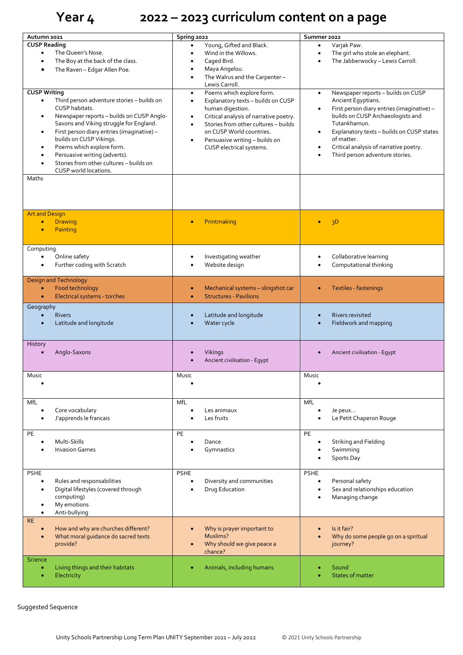# **Year 4 2022 – 2023 curriculum content on a page**

| Autumn 2021                                                                   | Spring 2022                                         | Summer 2022                                             |
|-------------------------------------------------------------------------------|-----------------------------------------------------|---------------------------------------------------------|
| <b>CUSP Reading</b>                                                           | Young, Gifted and Black.<br>$\bullet$               | Varjak Paw.<br>$\bullet$                                |
| The Queen's Nose.<br>$\bullet$                                                | Wind in the Willows.<br>$\bullet$                   | The girl who stole an elephant.<br>$\bullet$            |
| The Boy at the back of the class.<br>$\bullet$                                | Caged Bird.                                         | The Jabberwocky - Lewis Carroll.                        |
| The Raven - Edgar Allen Poe.<br>$\bullet$                                     | Maya Angelou.<br>$\bullet$                          |                                                         |
|                                                                               | The Walrus and the Carpenter-                       |                                                         |
|                                                                               | Lewis Carroll.                                      |                                                         |
| <b>CUSP Writing</b>                                                           | Poems which explore form.<br>$\bullet$              | Newspaper reports - builds on CUSP<br>$\bullet$         |
| Third person adventure stories - builds on<br>$\bullet$                       | Explanatory texts - builds on CUSP<br>$\bullet$     | Ancient Egyptians.                                      |
| CUSP habitats.                                                                | human digestion.                                    | First person diary entries (imaginative) -<br>$\bullet$ |
| Newspaper reports - builds on CUSP Anglo-<br>$\bullet$                        | Critical analysis of narrative poetry.<br>$\bullet$ | builds on CUSP Archaeologists and                       |
| Saxons and Viking struggle for England.                                       | Stories from other cultures - builds                | Tutankhamun.                                            |
| First person diary entries (imaginative) -<br>$\bullet$                       | on CUSP World countries.                            | Explanatory texts - builds on CUSP states<br>$\bullet$  |
| builds on CUSP Vikings.                                                       | Persuasive writing - builds on<br>$\bullet$         | of matter.                                              |
| Poems which explore form.<br>$\bullet$                                        | CUSP electrical systems.                            | Critical analysis of narrative poetry.<br>$\bullet$     |
| Persuasive writing (adverts).<br>٠<br>Stories from other cultures - builds on |                                                     | Third person adventure stories.<br>$\bullet$            |
| $\bullet$<br>CUSP world locations.                                            |                                                     |                                                         |
| Maths                                                                         |                                                     |                                                         |
|                                                                               |                                                     |                                                         |
|                                                                               |                                                     |                                                         |
|                                                                               |                                                     |                                                         |
|                                                                               |                                                     |                                                         |
| <b>Art and Design</b>                                                         |                                                     |                                                         |
| <b>Drawing</b><br>$\bullet$                                                   | Printmaking<br>$\bullet$                            | 3D                                                      |
| Painting<br>$\bullet$                                                         |                                                     |                                                         |
|                                                                               |                                                     |                                                         |
| Computing                                                                     |                                                     |                                                         |
| Online safety<br>$\bullet$                                                    | Investigating weather                               | Collaborative learning                                  |
| Further coding with Scratch<br>$\bullet$                                      | Website design                                      | Computational thinking                                  |
|                                                                               |                                                     |                                                         |
| <b>Design and Technology</b>                                                  |                                                     |                                                         |
| Food technology<br>$\bullet$                                                  | Mechanical systems - slingshot car                  | Textiles - fastenings<br>$\bullet$                      |
| Electrical systems - torches<br>$\bullet$                                     | <b>Structures - Pavilions</b>                       |                                                         |
| Geography                                                                     |                                                     |                                                         |
| <b>Rivers</b><br>$\bullet$                                                    | Latitude and longitude                              | Rivers revisited                                        |
| Latitude and longitude<br>$\bullet$                                           | Water cycle                                         | Fieldwork and mapping                                   |
|                                                                               |                                                     |                                                         |
|                                                                               |                                                     |                                                         |
| History                                                                       |                                                     |                                                         |
| Anglo-Saxons                                                                  | Vikings                                             | Ancient civilisation - Egypt                            |
|                                                                               | Ancient civilisation - Egypt                        |                                                         |
|                                                                               |                                                     |                                                         |
| Music                                                                         | Music                                               | Music                                                   |
|                                                                               |                                                     |                                                         |
|                                                                               |                                                     |                                                         |
| MfL                                                                           | MfL                                                 | MfL                                                     |
| Core vocabulary<br>$\bullet$                                                  | Les animaux                                         | Je peux                                                 |
| J'apprends le francais<br>$\bullet$                                           | Les fruits                                          | Le Petit Chaperon Rouge                                 |
|                                                                               |                                                     |                                                         |
| PE                                                                            | PE                                                  | PE                                                      |
| Multi-Skills<br>$\bullet$                                                     | Dance                                               | Striking and Fielding                                   |
| <b>Invasion Games</b>                                                         | Gymnastics                                          | Swimming                                                |
|                                                                               |                                                     | Sports Day                                              |
| <b>PSHE</b>                                                                   | <b>PSHE</b>                                         | <b>PSHE</b>                                             |
| Rules and responsabilities<br>$\bullet$                                       | Diversity and communities                           | Personal safety                                         |
| Digital lifestyles (covered through<br>$\bullet$                              | Drug Education                                      | Sex and relationships education                         |
| computing)                                                                    |                                                     | Managing change<br>٠                                    |
| My emotions                                                                   |                                                     |                                                         |
| Anti-bullying<br>$\bullet$                                                    |                                                     |                                                         |
| <b>RE</b>                                                                     |                                                     |                                                         |
| How and why are churches different?                                           | Why is prayer important to                          | Is it fair?                                             |
| What moral guidance do sacred texts<br>$\bullet$                              | Muslims?                                            | Why do some people go on a spiritual                    |
| provide?                                                                      | Why should we give peace a                          | journey?                                                |
|                                                                               | chance?                                             |                                                         |
| <b>Science</b>                                                                |                                                     |                                                         |
| Living things and their habitats<br>$\bullet$                                 | Animals, including humans                           | Sound                                                   |
| Electricity<br>۰                                                              |                                                     | <b>States of matter</b>                                 |
|                                                                               |                                                     |                                                         |

Suggested Sequence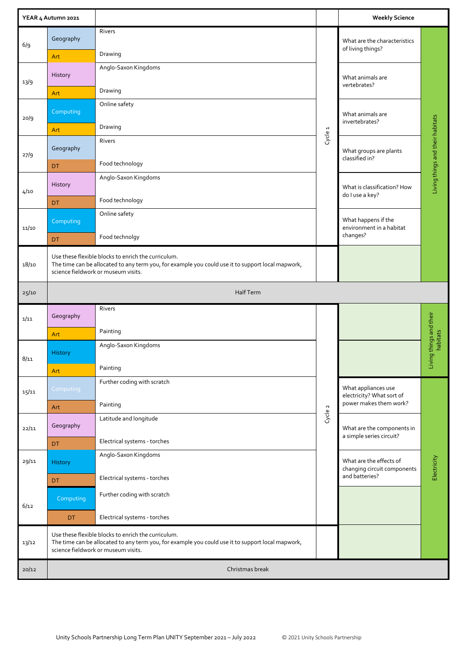|       | YEAR 4 Autumn 2021 |                                                                                                                                                                                                 |                    | <b>Weekly Science</b>                                  |                                  |
|-------|--------------------|-------------------------------------------------------------------------------------------------------------------------------------------------------------------------------------------------|--------------------|--------------------------------------------------------|----------------------------------|
| 6/9   | Geography<br>Art   | Rivers<br>Drawing                                                                                                                                                                               |                    | What are the characteristics<br>of living things?      |                                  |
| 13/9  | History            | Anglo-Saxon Kingdoms                                                                                                                                                                            |                    | What animals are<br>vertebrates?                       |                                  |
|       | Art                | Drawing                                                                                                                                                                                         |                    |                                                        |                                  |
| 20/9  | Computing          | Online safety                                                                                                                                                                                   |                    | What animals are<br>invertebrates?                     |                                  |
|       | Art                | Drawing                                                                                                                                                                                         | Cycle <sub>1</sub> |                                                        |                                  |
| 27/9  | Geography          | Rivers                                                                                                                                                                                          |                    | What groups are plants<br>classified in?               | Living things and their habitats |
|       | <b>DT</b>          | Food technology                                                                                                                                                                                 |                    |                                                        |                                  |
| 4/10  | History            | Anglo-Saxon Kingdoms                                                                                                                                                                            |                    | What is classification? How<br>do I use a key?         |                                  |
|       | DT                 | Food technology                                                                                                                                                                                 |                    |                                                        |                                  |
| 11/10 | Computing          | Online safety                                                                                                                                                                                   |                    | What happens if the<br>environment in a habitat        |                                  |
|       | DT                 | Food technolgy                                                                                                                                                                                  |                    | changes?                                               |                                  |
| 18/10 |                    | Use these flexible blocks to enrich the curriculum.<br>The time can be allocated to any term you, for example you could use it to support local mapwork,<br>science fieldwork or museum visits. |                    |                                                        |                                  |
| 25/10 |                    | <b>Half Term</b>                                                                                                                                                                                |                    |                                                        |                                  |
| 1/11  | Geography          | Rivers                                                                                                                                                                                          |                    |                                                        | things and their                 |
|       | Art                | Painting                                                                                                                                                                                        |                    |                                                        |                                  |
| 8/11  | History            | Anglo-Saxon Kingdoms                                                                                                                                                                            |                    |                                                        | habitats<br>Living               |
|       | Art                | Painting                                                                                                                                                                                        |                    |                                                        |                                  |
| 15/11 | Computing          | Further coding with scratch                                                                                                                                                                     |                    | What appliances use<br>electricity? What sort of       |                                  |
|       | Art                | Painting                                                                                                                                                                                        |                    | power makes them work?                                 |                                  |
| 22/11 | Geography          | Latitude and longitude                                                                                                                                                                          | Cycle 2            | What are the components in<br>a simple series circuit? |                                  |
|       | <b>DT</b>          | Electrical systems - torches                                                                                                                                                                    |                    |                                                        |                                  |
| 29/11 | History            | Anglo-Saxon Kingdoms                                                                                                                                                                            |                    | What are the effects of<br>changing circuit components | Electricity                      |
|       | DT                 | Electrical systems - torches                                                                                                                                                                    |                    | and batteries?                                         |                                  |
| 6/12  | Computing          | Further coding with scratch                                                                                                                                                                     |                    |                                                        |                                  |
|       | DT.                | Electrical systems - torches                                                                                                                                                                    |                    |                                                        |                                  |
| 13/12 |                    | Use these flexible blocks to enrich the curriculum.<br>The time can be allocated to any term you, for example you could use it to support local mapwork,<br>science fieldwork or museum visits. |                    |                                                        |                                  |
| 20/12 |                    | Christmas break                                                                                                                                                                                 |                    |                                                        |                                  |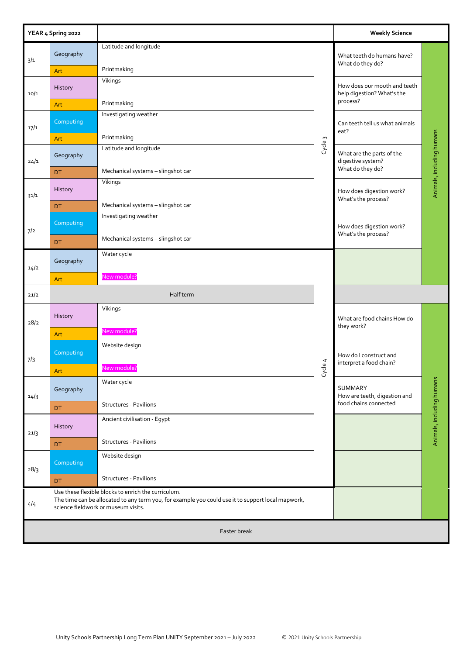|      | YEAR 4 Spring 2022 |                                                                                                                                                                                                 |                           | <b>Weekly Science</b>                                              |                           |
|------|--------------------|-------------------------------------------------------------------------------------------------------------------------------------------------------------------------------------------------|---------------------------|--------------------------------------------------------------------|---------------------------|
| 3/1  | Geography<br>Art   | Latitude and longitude<br>Printmaking                                                                                                                                                           |                           | What teeth do humans have?<br>What do they do?                     | Animals, including humans |
| 10/1 | History            | Vikings                                                                                                                                                                                         |                           | How does our mouth and teeth<br>help digestion? What's the         |                           |
| 17/1 | Art<br>Computing   | Printmaking<br>Investigating weather                                                                                                                                                            |                           | process?<br>Can teeth tell us what animals                         |                           |
|      | Art                | Printmaking                                                                                                                                                                                     | Cycle <sub>3</sub>        | eat?                                                               |                           |
| 24/1 | Geography          | Latitude and longitude                                                                                                                                                                          |                           | What are the parts of the<br>digestive system?<br>What do they do? |                           |
|      | <b>DT</b>          | Mechanical systems - slingshot car<br>Vikings                                                                                                                                                   |                           |                                                                    |                           |
| 31/1 | History            |                                                                                                                                                                                                 |                           | How does digestion work?<br>What's the process?                    |                           |
|      | DT.                | Mechanical systems - slingshot car<br>Investigating weather                                                                                                                                     |                           |                                                                    |                           |
| 7/2  | Computing          | Mechanical systems - slingshot car                                                                                                                                                              |                           | How does digestion work?<br>What's the process?                    |                           |
|      | <b>DT</b>          | Water cycle                                                                                                                                                                                     |                           |                                                                    |                           |
| 14/2 | Geography          | New module?                                                                                                                                                                                     |                           |                                                                    |                           |
|      | Art                |                                                                                                                                                                                                 |                           |                                                                    |                           |
| 21/2 |                    | Half term                                                                                                                                                                                       |                           |                                                                    |                           |
| 28/2 | History            | Vikings                                                                                                                                                                                         |                           | What are food chains How do<br>they work?                          |                           |
|      | Art                | New module?                                                                                                                                                                                     |                           |                                                                    |                           |
| 7/3  | Computing          | Website design                                                                                                                                                                                  | 4                         | How do I construct and<br>interpret a food chain?                  |                           |
|      | Art                | New module?                                                                                                                                                                                     | $\frac{1}{\sqrt{2}}$<br>ଫ |                                                                    |                           |
| 14/3 | Geography          | Water cycle                                                                                                                                                                                     |                           | SUMMARY<br>How are teeth, digestion and                            |                           |
|      | DT.                | Structures - Pavilions                                                                                                                                                                          |                           | food chains connected                                              |                           |
| 21/3 | History            | Ancient civilisation - Egypt                                                                                                                                                                    |                           |                                                                    | Animals, including humans |
|      | DT.                | <b>Structures - Pavilions</b>                                                                                                                                                                   |                           |                                                                    |                           |
| 28/3 | Computing          | Website design                                                                                                                                                                                  |                           |                                                                    |                           |
|      | DT.                | <b>Structures - Pavilions</b>                                                                                                                                                                   |                           |                                                                    |                           |
| 4/4  |                    | Use these flexible blocks to enrich the curriculum.<br>The time can be allocated to any term you, for example you could use it to support local mapwork,<br>science fieldwork or museum visits. |                           |                                                                    |                           |
|      |                    | Easter break                                                                                                                                                                                    |                           |                                                                    |                           |